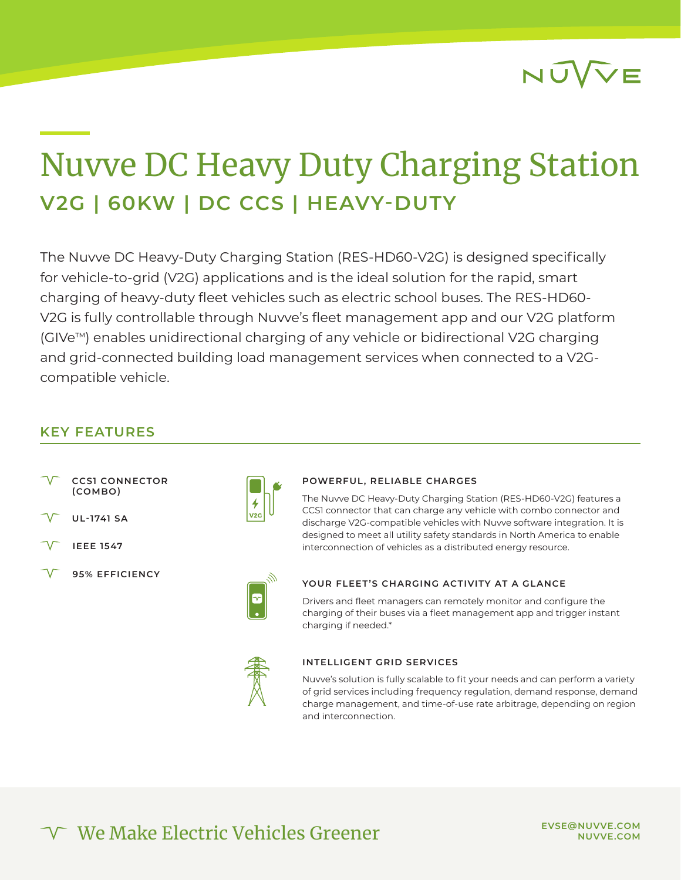

# Nuvve DC Heavy Duty Charging Station **V2G | 60KW | DC CCS | HEAVY-DUTY**

The Nuvve DC Heavy-Duty Charging Station (RES-HD60-V2G) is designed specifically for vehicle-to-grid (V2G) applications and is the ideal solution for the rapid, smart charging of heavy-duty fleet vehicles such as electric school buses. The RES-HD60- V2G is fully controllable through Nuvve's fleet management app and our V2G platform (GIVeTM) enables unidirectional charging of any vehicle or bidirectional V2G charging and grid-connected building load management services when connected to a V2Gcompatible vehicle.

## **KEY FEATURES**

- **CCS1 CONNECTOR (COMBO)**
- **UL-1741 SA**
- **IEEE 1547**
- **95% EFFICIENCY**



#### **POWERFUL, RELIABLE CHARGES**

The Nuvve DC Heavy-Duty Charging Station (RES-HD60-V2G) features a CCS1 connector that can charge any vehicle with combo connector and discharge V2G-compatible vehicles with Nuvve software integration. It is designed to meet all utility safety standards in North America to enable interconnection of vehicles as a distributed energy resource.



### **YOUR FLEET'S CHARGING ACTIVITY AT A GLANCE**

Drivers and fleet managers can remotely monitor and configure the charging of their buses via a fleet management app and trigger instant charging if needed.\*



#### **INTELLIGENT GRID SERVICES**

Nuvve's solution is fully scalable to fit your needs and can perform a variety of grid services including frequency regulation, demand response, demand charge management, and time-of-use rate arbitrage, depending on region and interconnection.

We Make Electric Vehicles Greener

**EVSE@NUVVE.COM NUVVE.COM**